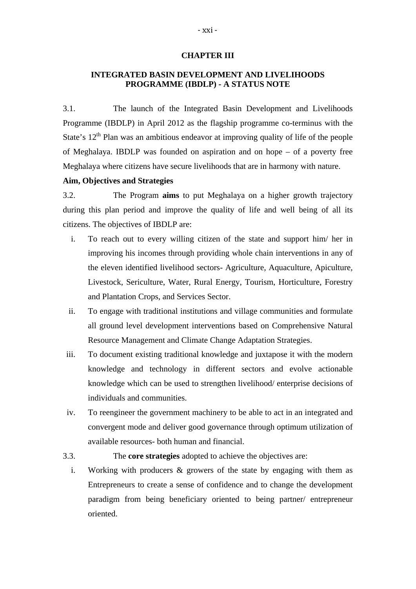### **CHAPTER III**

# **INTEGRATED BASIN DEVELOPMENT AND LIVELIHOODS PROGRAMME (IBDLP) - A STATUS NOTE**

3.1. The launch of the Integrated Basin Development and Livelihoods Programme (IBDLP) in April 2012 as the flagship programme co-terminus with the State's  $12<sup>th</sup>$  Plan was an ambitious endeavor at improving quality of life of the people of Meghalaya. IBDLP was founded on aspiration and on hope – of a poverty free Meghalaya where citizens have secure livelihoods that are in harmony with nature.

### **Aim, Objectives and Strategies**

3.2. The Program **aims** to put Meghalaya on a higher growth trajectory during this plan period and improve the quality of life and well being of all its citizens. The objectives of IBDLP are:

- i. To reach out to every willing citizen of the state and support him/ her in improving his incomes through providing whole chain interventions in any of the eleven identified livelihood sectors- Agriculture, Aquaculture, Apiculture, Livestock, Sericulture, Water, Rural Energy, Tourism, Horticulture, Forestry and Plantation Crops, and Services Sector.
- ii. To engage with traditional institutions and village communities and formulate all ground level development interventions based on Comprehensive Natural Resource Management and Climate Change Adaptation Strategies.
- iii. To document existing traditional knowledge and juxtapose it with the modern knowledge and technology in different sectors and evolve actionable knowledge which can be used to strengthen livelihood/ enterprise decisions of individuals and communities.
- iv. To reengineer the government machinery to be able to act in an integrated and convergent mode and deliver good governance through optimum utilization of available resources- both human and financial.
- 3.3. The **core strategies** adopted to achieve the objectives are:
	- i. Working with producers & growers of the state by engaging with them as Entrepreneurs to create a sense of confidence and to change the development paradigm from being beneficiary oriented to being partner/ entrepreneur oriented.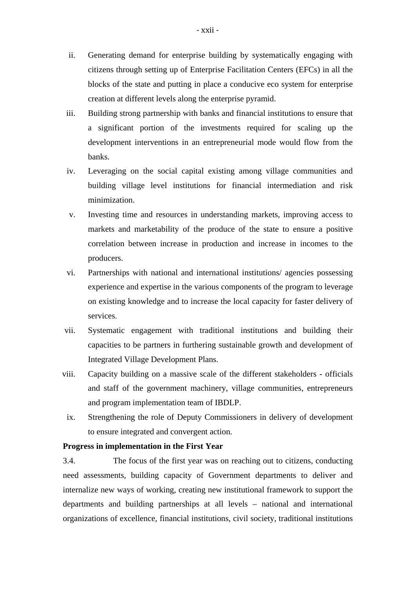- ii. Generating demand for enterprise building by systematically engaging with citizens through setting up of Enterprise Facilitation Centers (EFCs) in all the blocks of the state and putting in place a conducive eco system for enterprise creation at different levels along the enterprise pyramid.
- iii. Building strong partnership with banks and financial institutions to ensure that a significant portion of the investments required for scaling up the development interventions in an entrepreneurial mode would flow from the banks.
- iv. Leveraging on the social capital existing among village communities and building village level institutions for financial intermediation and risk minimization.
- v. Investing time and resources in understanding markets, improving access to markets and marketability of the produce of the state to ensure a positive correlation between increase in production and increase in incomes to the producers.
- vi. Partnerships with national and international institutions/ agencies possessing experience and expertise in the various components of the program to leverage on existing knowledge and to increase the local capacity for faster delivery of services.
- vii. Systematic engagement with traditional institutions and building their capacities to be partners in furthering sustainable growth and development of Integrated Village Development Plans.
- viii. Capacity building on a massive scale of the different stakeholders officials and staff of the government machinery, village communities, entrepreneurs and program implementation team of IBDLP.
- ix. Strengthening the role of Deputy Commissioners in delivery of development to ensure integrated and convergent action.

### **Progress in implementation in the First Year**

3.4.The focus of the first year was on reaching out to citizens, conducting need assessments, building capacity of Government departments to deliver and internalize new ways of working, creating new institutional framework to support the departments and building partnerships at all levels – national and international organizations of excellence, financial institutions, civil society, traditional institutions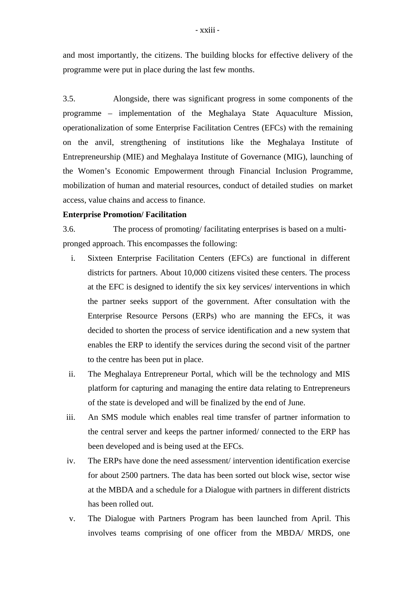and most importantly, the citizens. The building blocks for effective delivery of the programme were put in place during the last few months.

3.5. Alongside, there was significant progress in some components of the programme – implementation of the Meghalaya State Aquaculture Mission, operationalization of some Enterprise Facilitation Centres (EFCs) with the remaining on the anvil, strengthening of institutions like the Meghalaya Institute of Entrepreneurship (MIE) and Meghalaya Institute of Governance (MIG), launching of the Women's Economic Empowerment through Financial Inclusion Programme, mobilization of human and material resources, conduct of detailed studies on market access, value chains and access to finance.

### **Enterprise Promotion/ Facilitation**

3.6. The process of promoting/ facilitating enterprises is based on a multipronged approach. This encompasses the following:

- i. Sixteen Enterprise Facilitation Centers (EFCs) are functional in different districts for partners. About 10,000 citizens visited these centers. The process at the EFC is designed to identify the six key services/ interventions in which the partner seeks support of the government. After consultation with the Enterprise Resource Persons (ERPs) who are manning the EFCs, it was decided to shorten the process of service identification and a new system that enables the ERP to identify the services during the second visit of the partner to the centre has been put in place.
- ii. The Meghalaya Entrepreneur Portal, which will be the technology and MIS platform for capturing and managing the entire data relating to Entrepreneurs of the state is developed and will be finalized by the end of June.
- iii. An SMS module which enables real time transfer of partner information to the central server and keeps the partner informed/ connected to the ERP has been developed and is being used at the EFCs.
- iv. The ERPs have done the need assessment/ intervention identification exercise for about 2500 partners. The data has been sorted out block wise, sector wise at the MBDA and a schedule for a Dialogue with partners in different districts has been rolled out.
- v. The Dialogue with Partners Program has been launched from April. This involves teams comprising of one officer from the MBDA/ MRDS, one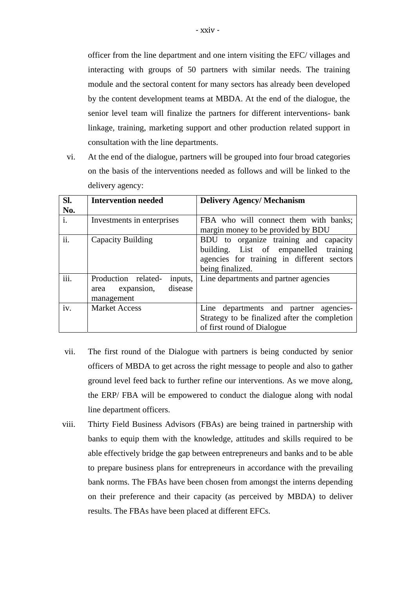officer from the line department and one intern visiting the EFC/ villages and interacting with groups of 50 partners with similar needs. The training module and the sectoral content for many sectors has already been developed by the content development teams at MBDA. At the end of the dialogue, the senior level team will finalize the partners for different interventions- bank linkage, training, marketing support and other production related support in consultation with the line departments.

vi. At the end of the dialogue, partners will be grouped into four broad categories on the basis of the interventions needed as follows and will be linked to the delivery agency:

| Sl.  | <b>Intervention needed</b>                                                    | <b>Delivery Agency/Mechanism</b>                                                                                                                    |
|------|-------------------------------------------------------------------------------|-----------------------------------------------------------------------------------------------------------------------------------------------------|
| No.  |                                                                               |                                                                                                                                                     |
| i.   | Investments in enterprises                                                    | FBA who will connect them with banks;<br>margin money to be provided by BDU                                                                         |
| ii.  | Capacity Building                                                             | BDU to organize training and capacity<br>building. List of empanelled<br>training<br>agencies for training in different sectors<br>being finalized. |
| iii. | Production related-<br>inputs,<br>disease<br>expansion,<br>area<br>management | Line departments and partner agencies                                                                                                               |
| iv.  | <b>Market Access</b>                                                          | Line departments and partner agencies-<br>Strategy to be finalized after the completion<br>of first round of Dialogue                               |

- vii. The first round of the Dialogue with partners is being conducted by senior officers of MBDA to get across the right message to people and also to gather ground level feed back to further refine our interventions. As we move along, the ERP/ FBA will be empowered to conduct the dialogue along with nodal line department officers.
- viii. Thirty Field Business Advisors (FBAs) are being trained in partnership with banks to equip them with the knowledge, attitudes and skills required to be able effectively bridge the gap between entrepreneurs and banks and to be able to prepare business plans for entrepreneurs in accordance with the prevailing bank norms. The FBAs have been chosen from amongst the interns depending on their preference and their capacity (as perceived by MBDA) to deliver results. The FBAs have been placed at different EFCs.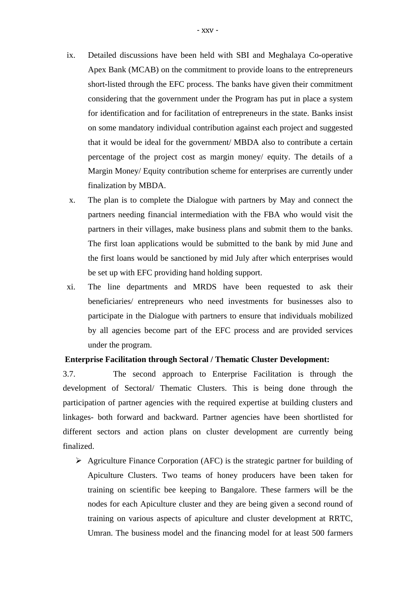- ix. Detailed discussions have been held with SBI and Meghalaya Co-operative Apex Bank (MCAB) on the commitment to provide loans to the entrepreneurs short-listed through the EFC process. The banks have given their commitment considering that the government under the Program has put in place a system for identification and for facilitation of entrepreneurs in the state. Banks insist on some mandatory individual contribution against each project and suggested that it would be ideal for the government/ MBDA also to contribute a certain percentage of the project cost as margin money/ equity. The details of a Margin Money/ Equity contribution scheme for enterprises are currently under finalization by MBDA.
- x. The plan is to complete the Dialogue with partners by May and connect the partners needing financial intermediation with the FBA who would visit the partners in their villages, make business plans and submit them to the banks. The first loan applications would be submitted to the bank by mid June and the first loans would be sanctioned by mid July after which enterprises would be set up with EFC providing hand holding support.
- xi. The line departments and MRDS have been requested to ask their beneficiaries/ entrepreneurs who need investments for businesses also to participate in the Dialogue with partners to ensure that individuals mobilized by all agencies become part of the EFC process and are provided services under the program.

### **Enterprise Facilitation through Sectoral / Thematic Cluster Development:**

3.7. The second approach to Enterprise Facilitation is through the development of Sectoral/ Thematic Clusters. This is being done through the participation of partner agencies with the required expertise at building clusters and linkages- both forward and backward. Partner agencies have been shortlisted for different sectors and action plans on cluster development are currently being finalized.

 $\triangleright$  Agriculture Finance Corporation (AFC) is the strategic partner for building of Apiculture Clusters. Two teams of honey producers have been taken for training on scientific bee keeping to Bangalore. These farmers will be the nodes for each Apiculture cluster and they are being given a second round of training on various aspects of apiculture and cluster development at RRTC, Umran. The business model and the financing model for at least 500 farmers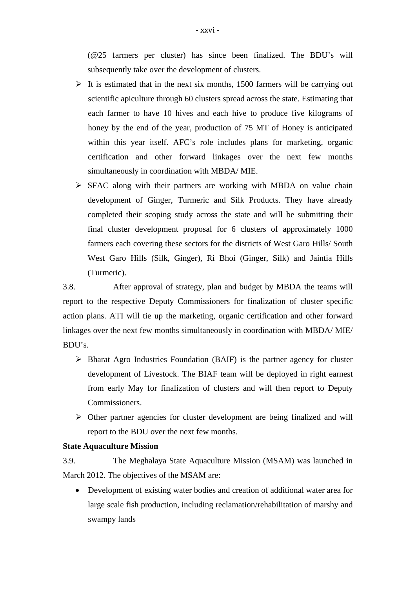(@25 farmers per cluster) has since been finalized. The BDU's will subsequently take over the development of clusters.

- $\triangleright$  It is estimated that in the next six months, 1500 farmers will be carrying out scientific apiculture through 60 clusters spread across the state. Estimating that each farmer to have 10 hives and each hive to produce five kilograms of honey by the end of the year, production of 75 MT of Honey is anticipated within this year itself. AFC's role includes plans for marketing, organic certification and other forward linkages over the next few months simultaneously in coordination with MBDA/ MIE.
- $\triangleright$  SFAC along with their partners are working with MBDA on value chain development of Ginger, Turmeric and Silk Products. They have already completed their scoping study across the state and will be submitting their final cluster development proposal for 6 clusters of approximately 1000 farmers each covering these sectors for the districts of West Garo Hills/ South West Garo Hills (Silk, Ginger), Ri Bhoi (Ginger, Silk) and Jaintia Hills (Turmeric).

3.8. After approval of strategy, plan and budget by MBDA the teams will report to the respective Deputy Commissioners for finalization of cluster specific action plans. ATI will tie up the marketing, organic certification and other forward linkages over the next few months simultaneously in coordination with MBDA/ MIE/ BDU's.

- $\triangleright$  Bharat Agro Industries Foundation (BAIF) is the partner agency for cluster development of Livestock. The BIAF team will be deployed in right earnest from early May for finalization of clusters and will then report to Deputy Commissioners.
- $\triangleright$  Other partner agencies for cluster development are being finalized and will report to the BDU over the next few months.

### **State Aquaculture Mission**

3.9. The Meghalaya State Aquaculture Mission (MSAM) was launched in March 2012. The objectives of the MSAM are:

 Development of existing water bodies and creation of additional water area for large scale fish production, including reclamation/rehabilitation of marshy and swampy lands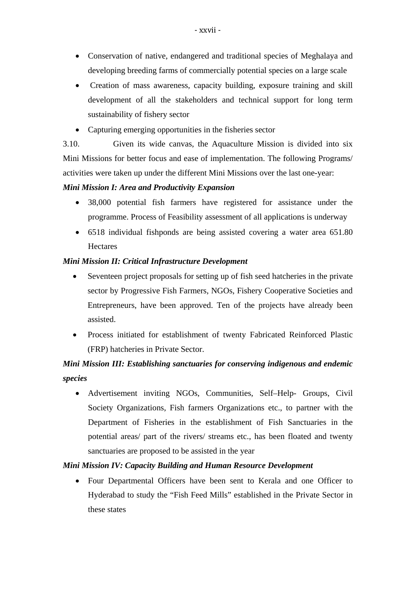- Conservation of native, endangered and traditional species of Meghalaya and developing breeding farms of commercially potential species on a large scale
- Creation of mass awareness, capacity building, exposure training and skill development of all the stakeholders and technical support for long term sustainability of fishery sector
- Capturing emerging opportunities in the fisheries sector

3.10. Given its wide canvas, the Aquaculture Mission is divided into six Mini Missions for better focus and ease of implementation. The following Programs/ activities were taken up under the different Mini Missions over the last one-year:

# *Mini Mission I: Area and Productivity Expansion*

- 38,000 potential fish farmers have registered for assistance under the programme. Process of Feasibility assessment of all applications is underway
- 6518 individual fishponds are being assisted covering a water area 651.80 **Hectares**

# *Mini Mission II: Critical Infrastructure Development*

- Seventeen project proposals for setting up of fish seed hatcheries in the private sector by Progressive Fish Farmers, NGOs, Fishery Cooperative Societies and Entrepreneurs, have been approved. Ten of the projects have already been assisted.
- Process initiated for establishment of twenty Fabricated Reinforced Plastic (FRP) hatcheries in Private Sector.

# *Mini Mission III: Establishing sanctuaries for conserving indigenous and endemic species*

 Advertisement inviting NGOs, Communities, Self–Help- Groups, Civil Society Organizations, Fish farmers Organizations etc., to partner with the Department of Fisheries in the establishment of Fish Sanctuaries in the potential areas/ part of the rivers/ streams etc., has been floated and twenty sanctuaries are proposed to be assisted in the year

### *Mini Mission IV: Capacity Building and Human Resource Development*

 Four Departmental Officers have been sent to Kerala and one Officer to Hyderabad to study the "Fish Feed Mills" established in the Private Sector in these states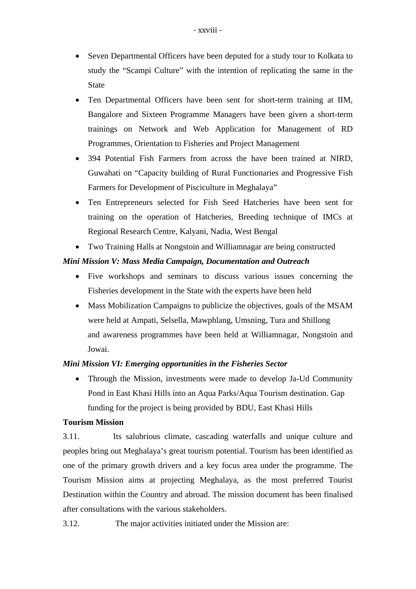- Seven Departmental Officers have been deputed for a study tour to Kolkata to study the "Scampi Culture" with the intention of replicating the same in the State
- Ten Departmental Officers have been sent for short-term training at IIM, Bangalore and Sixteen Programme Managers have been given a short-term trainings on Network and Web Application for Management of RD Programmes, Orientation to Fisheries and Project Management
- 394 Potential Fish Farmers from across the have been trained at NIRD, Guwahati on "Capacity building of Rural Functionaries and Progressive Fish Farmers for Development of Pisciculture in Meghalaya"
- Ten Entrepreneurs selected for Fish Seed Hatcheries have been sent for training on the operation of Hatcheries, Breeding technique of IMCs at Regional Research Centre, Kalyani, Nadia, West Bengal
- Two Training Halls at Nongstoin and Williamnagar are being constructed

# *Mini Mission V: Mass Media Campaign, Documentation and Outreach*

- Five workshops and seminars to discuss various issues concerning the Fisheries development in the State with the experts have been held
- Mass Mobilization Campaigns to publicize the objectives, goals of the MSAM were held at Ampati, Selsella, Mawphlang, Umsning, Tura and Shillong and awareness programmes have been held at Williamnagar, Nongstoin and Jowai.

# *Mini Mission VI: Emerging opportunities in the Fisheries Sector*

• Through the Mission, investments were made to develop Ja-Ud Community Pond in East Khasi Hills into an Aqua Parks/Aqua Tourism destination. Gap funding for the project is being provided by BDU, East Khasi Hills

# **Tourism Mission**

3.11. Its salubrious climate, cascading waterfalls and unique culture and peoples bring out Meghalaya's great tourism potential. Tourism has been identified as one of the primary growth drivers and a key focus area under the programme. The Tourism Mission aims at projecting Meghalaya, as the most preferred Tourist Destination within the Country and abroad. The mission document has been finalised after consultations with the various stakeholders.

3.12. The major activities initiated under the Mission are: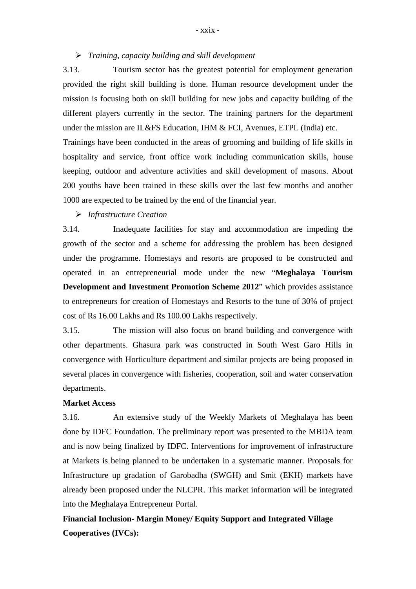### *Training, capacity building and skill development*

3.13. Tourism sector has the greatest potential for employment generation provided the right skill building is done. Human resource development under the mission is focusing both on skill building for new jobs and capacity building of the different players currently in the sector. The training partners for the department under the mission are IL&FS Education, IHM  $&$  FCI, Avenues, ETPL (India) etc. Trainings have been conducted in the areas of grooming and building of life skills in hospitality and service, front office work including communication skills, house keeping, outdoor and adventure activities and skill development of masons. About 200 youths have been trained in these skills over the last few months and another 1000 are expected to be trained by the end of the financial year.

### *Infrastructure Creation*

3.14. Inadequate facilities for stay and accommodation are impeding the growth of the sector and a scheme for addressing the problem has been designed under the programme. Homestays and resorts are proposed to be constructed and operated in an entrepreneurial mode under the new "**Meghalaya Tourism Development and Investment Promotion Scheme 2012**" which provides assistance to entrepreneurs for creation of Homestays and Resorts to the tune of 30% of project cost of Rs 16.00 Lakhs and Rs 100.00 Lakhs respectively.

3.15. The mission will also focus on brand building and convergence with other departments. Ghasura park was constructed in South West Garo Hills in convergence with Horticulture department and similar projects are being proposed in several places in convergence with fisheries, cooperation, soil and water conservation departments.

### **Market Access**

3.16. An extensive study of the Weekly Markets of Meghalaya has been done by IDFC Foundation. The preliminary report was presented to the MBDA team and is now being finalized by IDFC. Interventions for improvement of infrastructure at Markets is being planned to be undertaken in a systematic manner. Proposals for Infrastructure up gradation of Garobadha (SWGH) and Smit (EKH) markets have already been proposed under the NLCPR. This market information will be integrated into the Meghalaya Entrepreneur Portal.

**Financial Inclusion- Margin Money/ Equity Support and Integrated Village Cooperatives (IVCs):**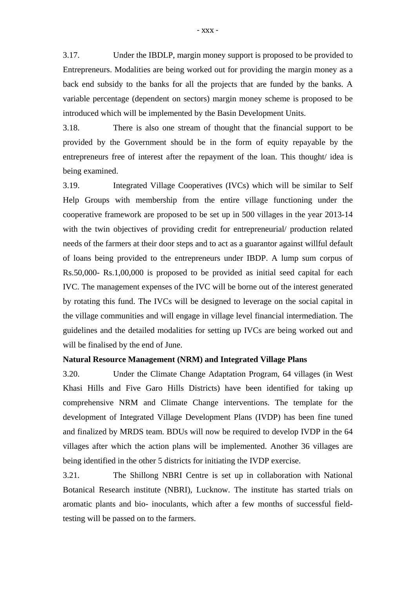3.17. Under the IBDLP, margin money support is proposed to be provided to Entrepreneurs. Modalities are being worked out for providing the margin money as a back end subsidy to the banks for all the projects that are funded by the banks. A variable percentage (dependent on sectors) margin money scheme is proposed to be introduced which will be implemented by the Basin Development Units.

3.18. There is also one stream of thought that the financial support to be provided by the Government should be in the form of equity repayable by the entrepreneurs free of interest after the repayment of the loan. This thought/ idea is being examined.

3.19. Integrated Village Cooperatives (IVCs) which will be similar to Self Help Groups with membership from the entire village functioning under the cooperative framework are proposed to be set up in 500 villages in the year 2013-14 with the twin objectives of providing credit for entrepreneurial/ production related needs of the farmers at their door steps and to act as a guarantor against willful default of loans being provided to the entrepreneurs under IBDP. A lump sum corpus of Rs.50,000- Rs.1,00,000 is proposed to be provided as initial seed capital for each IVC. The management expenses of the IVC will be borne out of the interest generated by rotating this fund. The IVCs will be designed to leverage on the social capital in the village communities and will engage in village level financial intermediation. The guidelines and the detailed modalities for setting up IVCs are being worked out and will be finalised by the end of June.

### **Natural Resource Management (NRM) and Integrated Village Plans**

3.20. Under the Climate Change Adaptation Program, 64 villages (in West Khasi Hills and Five Garo Hills Districts) have been identified for taking up comprehensive NRM and Climate Change interventions. The template for the development of Integrated Village Development Plans (IVDP) has been fine tuned and finalized by MRDS team. BDUs will now be required to develop IVDP in the 64 villages after which the action plans will be implemented. Another 36 villages are being identified in the other 5 districts for initiating the IVDP exercise.

3.21. The Shillong NBRI Centre is set up in collaboration with National Botanical Research institute (NBRI), Lucknow. The institute has started trials on aromatic plants and bio- inoculants, which after a few months of successful fieldtesting will be passed on to the farmers.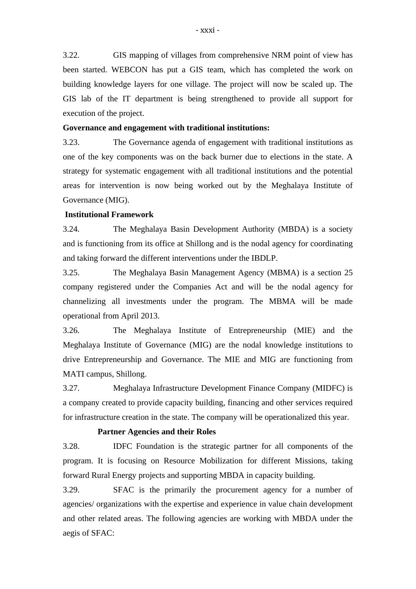3.22. GIS mapping of villages from comprehensive NRM point of view has been started. WEBCON has put a GIS team, which has completed the work on building knowledge layers for one village. The project will now be scaled up. The GIS lab of the IT department is being strengthened to provide all support for execution of the project.

#### **Governance and engagement with traditional institutions:**

3.23. The Governance agenda of engagement with traditional institutions as one of the key components was on the back burner due to elections in the state. A strategy for systematic engagement with all traditional institutions and the potential areas for intervention is now being worked out by the Meghalaya Institute of Governance (MIG).

#### **Institutional Framework**

3.24. The Meghalaya Basin Development Authority (MBDA) is a society and is functioning from its office at Shillong and is the nodal agency for coordinating and taking forward the different interventions under the IBDLP.

3.25. The Meghalaya Basin Management Agency (MBMA) is a section 25 company registered under the Companies Act and will be the nodal agency for channelizing all investments under the program. The MBMA will be made operational from April 2013.

3.26. The Meghalaya Institute of Entrepreneurship (MIE) and the Meghalaya Institute of Governance (MIG) are the nodal knowledge institutions to drive Entrepreneurship and Governance. The MIE and MIG are functioning from MATI campus, Shillong.

3.27. Meghalaya Infrastructure Development Finance Company (MIDFC) is a company created to provide capacity building, financing and other services required for infrastructure creation in the state. The company will be operationalized this year.

### **Partner Agencies and their Roles**

3.28. IDFC Foundation is the strategic partner for all components of the program. It is focusing on Resource Mobilization for different Missions, taking forward Rural Energy projects and supporting MBDA in capacity building.

3.29. SFAC is the primarily the procurement agency for a number of agencies/ organizations with the expertise and experience in value chain development and other related areas. The following agencies are working with MBDA under the aegis of SFAC: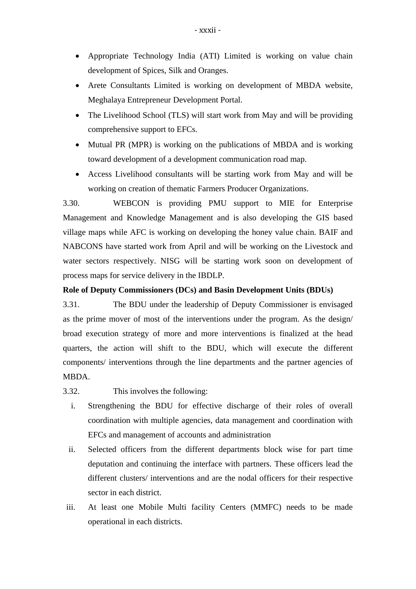- Appropriate Technology India (ATI) Limited is working on value chain development of Spices, Silk and Oranges.
- Arete Consultants Limited is working on development of MBDA website, Meghalaya Entrepreneur Development Portal.
- The Livelihood School (TLS) will start work from May and will be providing comprehensive support to EFCs.
- Mutual PR (MPR) is working on the publications of MBDA and is working toward development of a development communication road map.
- Access Livelihood consultants will be starting work from May and will be working on creation of thematic Farmers Producer Organizations.

3.30. WEBCON is providing PMU support to MIE for Enterprise Management and Knowledge Management and is also developing the GIS based village maps while AFC is working on developing the honey value chain. BAIF and NABCONS have started work from April and will be working on the Livestock and water sectors respectively. NISG will be starting work soon on development of process maps for service delivery in the IBDLP.

### **Role of Deputy Commissioners (DCs) and Basin Development Units (BDUs)**

3.31. The BDU under the leadership of Deputy Commissioner is envisaged as the prime mover of most of the interventions under the program. As the design/ broad execution strategy of more and more interventions is finalized at the head quarters, the action will shift to the BDU, which will execute the different components/ interventions through the line departments and the partner agencies of MBDA.

- 3.32. This involves the following:
	- i. Strengthening the BDU for effective discharge of their roles of overall coordination with multiple agencies, data management and coordination with EFCs and management of accounts and administration
	- ii. Selected officers from the different departments block wise for part time deputation and continuing the interface with partners. These officers lead the different clusters/ interventions and are the nodal officers for their respective sector in each district.
- iii. At least one Mobile Multi facility Centers (MMFC) needs to be made operational in each districts.